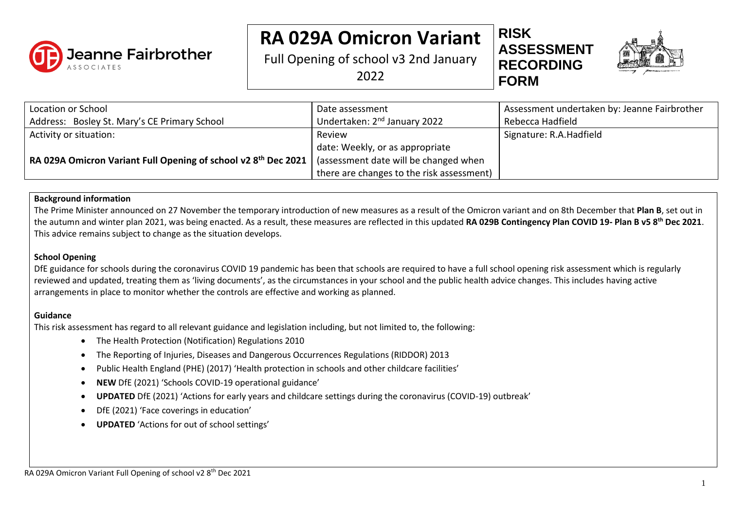

# **RA 029A Omicron Variant**

Full Opening of school v3 2nd January 2022





| Location or School                                                         | Date assessment                           | Assessment undertaken by: Jeanne Fairbrother |
|----------------------------------------------------------------------------|-------------------------------------------|----------------------------------------------|
| Address: Bosley St. Mary's CE Primary School                               | Undertaken: 2 <sup>nd</sup> January 2022  | Rebecca Hadfield                             |
| Activity or situation:                                                     | Review                                    | Signature: R.A.Hadfield                      |
|                                                                            | date: Weekly, or as appropriate           |                                              |
| RA 029A Omicron Variant Full Opening of school v2 8 <sup>th</sup> Dec 2021 | (assessment date will be changed when     |                                              |
|                                                                            | there are changes to the risk assessment) |                                              |

#### **Background information**

The Prime Minister announced on 27 November the temporary introduction of new measures as a result of the Omicron variant and on 8th December that **Plan B**, set out in the autumn and winter plan 2021, was being enacted. As a result, these measures are reflected in this updated **RA 029B Contingency Plan COVID 19- Plan B v5 8th Dec 2021**. This advice remains subject to change as the situation develops.

#### **School Opening**

DfE guidance for schools during the coronavirus COVID 19 pandemic has been that schools are required to have a full school opening risk assessment which is regularly reviewed and updated, treating them as 'living documents', as the circumstances in your school and the public health advice changes. This includes having active arrangements in place to monitor whether the controls are effective and working as planned.

#### **Guidance**

This risk assessment has regard to all relevant guidance and legislation including, but not limited to, the following:

- The Health Protection (Notification) Regulations 2010
- The Reporting of Injuries, Diseases and Dangerous Occurrences Regulations (RIDDOR) 2013
- Public Health England (PHE) (2017) 'Health protection in schools and other childcare facilities'
- **NEW** DfE (2021) 'Schools COVID-19 operational guidance'
- **UPDATED** DfE (2021) 'Actions for early years and childcare settings during the coronavirus (COVID-19) outbreak'
- DfE (2021) 'Face coverings in education'
- **UPDATED** 'Actions for out of school settings'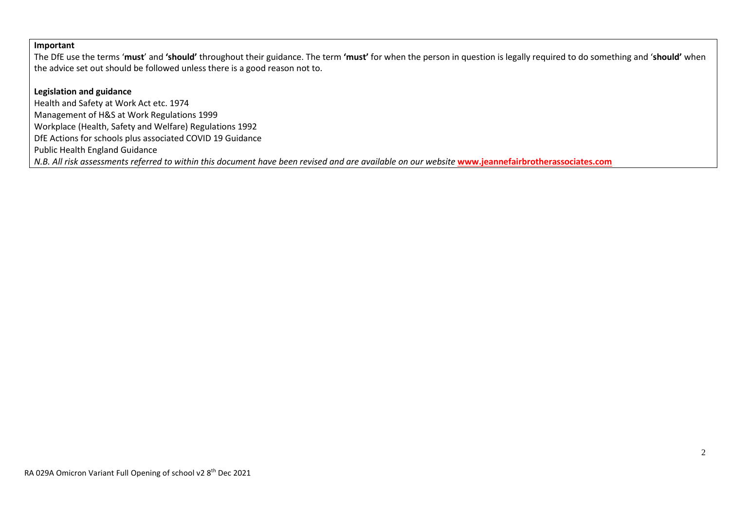#### **Important**

The DfE use the terms '**must**' and **'should'** throughout their guidance. The term **'must'** for when the person in question is legally required to do something and '**should'** when the advice set out should be followed unless there is a good reason not to.

#### **Legislation and guidance**

Health and Safety at Work Act etc. 1974 Management of H&S at Work Regulations 1999 Workplace (Health, Safety and Welfare) Regulations 1992 DfE Actions for schools plus associated COVID 19 Guidance Public Health England Guidance *N.B. All risk assessments referred to within this document have been revised and are available on our website* **[www.jeannefairbrotherassociates.com](http://www.jeannefairbrotherassociates.com/)**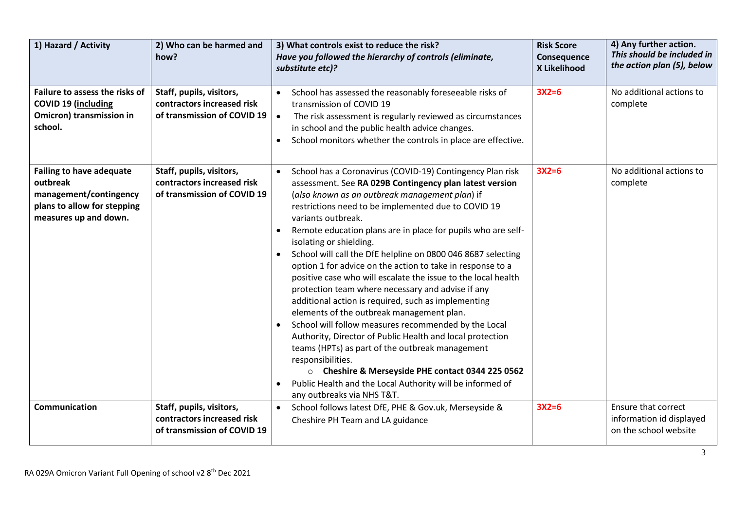| 1) Hazard / Activity                                                                                                          | 2) Who can be harmed and<br>how?                                                      | 3) What controls exist to reduce the risk?<br>Have you followed the hierarchy of controls (eliminate,<br>substitute etc)?                                                                                                                                                                                                                                                                                                                                                                                                                                                                                                                                                                                                                                                                                                                                                                                                                                                                                                                                        | <b>Risk Score</b><br>Consequence<br>X Likelihood | 4) Any further action.<br>This should be included in<br>the action plan (5), below |
|-------------------------------------------------------------------------------------------------------------------------------|---------------------------------------------------------------------------------------|------------------------------------------------------------------------------------------------------------------------------------------------------------------------------------------------------------------------------------------------------------------------------------------------------------------------------------------------------------------------------------------------------------------------------------------------------------------------------------------------------------------------------------------------------------------------------------------------------------------------------------------------------------------------------------------------------------------------------------------------------------------------------------------------------------------------------------------------------------------------------------------------------------------------------------------------------------------------------------------------------------------------------------------------------------------|--------------------------------------------------|------------------------------------------------------------------------------------|
| Failure to assess the risks of<br>COVID 19 (including<br><b>Omicron) transmission in</b><br>school.                           | Staff, pupils, visitors,<br>contractors increased risk<br>of transmission of COVID 19 | School has assessed the reasonably foreseeable risks of<br>$\bullet$<br>transmission of COVID 19<br>The risk assessment is regularly reviewed as circumstances<br>$\bullet$<br>in school and the public health advice changes.<br>School monitors whether the controls in place are effective.                                                                                                                                                                                                                                                                                                                                                                                                                                                                                                                                                                                                                                                                                                                                                                   | $3X2=6$                                          | No additional actions to<br>complete                                               |
| <b>Failing to have adequate</b><br>outbreak<br>management/contingency<br>plans to allow for stepping<br>measures up and down. | Staff, pupils, visitors,<br>contractors increased risk<br>of transmission of COVID 19 | School has a Coronavirus (COVID-19) Contingency Plan risk<br>$\bullet$<br>assessment. See RA 029B Contingency plan latest version<br>(also known as an outbreak management plan) if<br>restrictions need to be implemented due to COVID 19<br>variants outbreak.<br>Remote education plans are in place for pupils who are self-<br>isolating or shielding.<br>School will call the DfE helpline on 0800 046 8687 selecting<br>option 1 for advice on the action to take in response to a<br>positive case who will escalate the issue to the local health<br>protection team where necessary and advise if any<br>additional action is required, such as implementing<br>elements of the outbreak management plan.<br>School will follow measures recommended by the Local<br>Authority, Director of Public Health and local protection<br>teams (HPTs) as part of the outbreak management<br>responsibilities.<br>O Cheshire & Merseyside PHE contact 0344 225 0562<br>Public Health and the Local Authority will be informed of<br>any outbreaks via NHS T&T. | $3X2=6$                                          | No additional actions to<br>complete                                               |
| Communication                                                                                                                 | Staff, pupils, visitors,<br>contractors increased risk<br>of transmission of COVID 19 | School follows latest DfE, PHE & Gov.uk, Merseyside &<br>$\bullet$<br>Cheshire PH Team and LA guidance                                                                                                                                                                                                                                                                                                                                                                                                                                                                                                                                                                                                                                                                                                                                                                                                                                                                                                                                                           | $3X2=6$                                          | <b>Ensure that correct</b><br>information id displayed<br>on the school website    |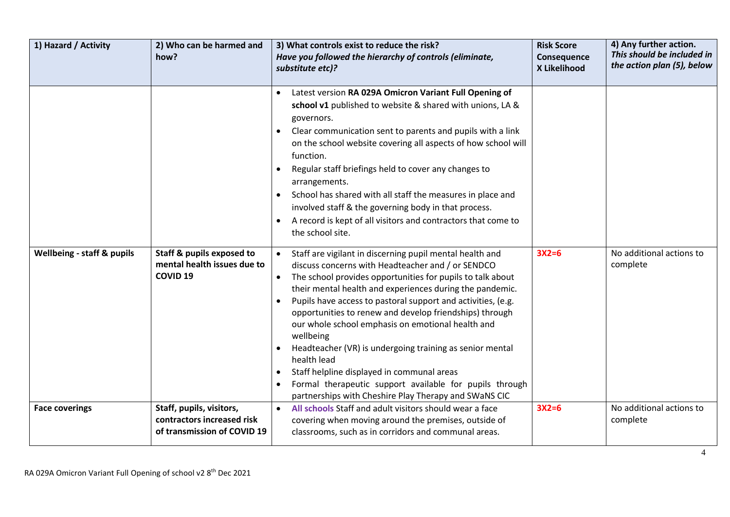| 1) Hazard / Activity                  | 2) Who can be harmed and<br>how?                                                       | 3) What controls exist to reduce the risk?<br>Have you followed the hierarchy of controls (eliminate,<br>substitute etc)?                                                                                                                                                                                                                                                                                                                                                                                                                                                                                                                                                         | <b>Risk Score</b><br>Consequence<br>X Likelihood | 4) Any further action.<br>This should be included in<br>the action plan (5), below |
|---------------------------------------|----------------------------------------------------------------------------------------|-----------------------------------------------------------------------------------------------------------------------------------------------------------------------------------------------------------------------------------------------------------------------------------------------------------------------------------------------------------------------------------------------------------------------------------------------------------------------------------------------------------------------------------------------------------------------------------------------------------------------------------------------------------------------------------|--------------------------------------------------|------------------------------------------------------------------------------------|
|                                       |                                                                                        | Latest version RA 029A Omicron Variant Full Opening of<br>school v1 published to website & shared with unions, LA &<br>governors.<br>Clear communication sent to parents and pupils with a link<br>on the school website covering all aspects of how school will<br>function.<br>Regular staff briefings held to cover any changes to<br>arrangements.<br>School has shared with all staff the measures in place and<br>involved staff & the governing body in that process.<br>A record is kept of all visitors and contractors that come to<br>the school site.                                                                                                                 |                                                  |                                                                                    |
| <b>Wellbeing - staff &amp; pupils</b> | <b>Staff &amp; pupils exposed to</b><br>mental health issues due to<br><b>COVID 19</b> | Staff are vigilant in discerning pupil mental health and<br>discuss concerns with Headteacher and / or SENDCO<br>The school provides opportunities for pupils to talk about<br>their mental health and experiences during the pandemic.<br>Pupils have access to pastoral support and activities, (e.g.<br>opportunities to renew and develop friendships) through<br>our whole school emphasis on emotional health and<br>wellbeing<br>Headteacher (VR) is undergoing training as senior mental<br>health lead<br>Staff helpline displayed in communal areas<br>Formal therapeutic support available for pupils through<br>partnerships with Cheshire Play Therapy and SWaNS CIC | $3X2=6$                                          | No additional actions to<br>complete                                               |
| <b>Face coverings</b>                 | Staff, pupils, visitors,<br>contractors increased risk<br>of transmission of COVID 19  | All schools Staff and adult visitors should wear a face<br>$\bullet$<br>covering when moving around the premises, outside of<br>classrooms, such as in corridors and communal areas.                                                                                                                                                                                                                                                                                                                                                                                                                                                                                              | $3X2=6$                                          | No additional actions to<br>complete                                               |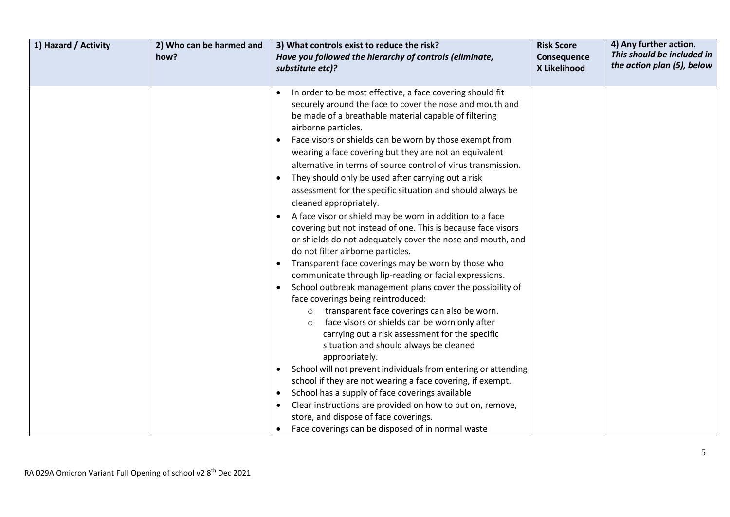| 1) Hazard / Activity | 2) Who can be harmed and<br>how? | 3) What controls exist to reduce the risk?<br>Have you followed the hierarchy of controls (eliminate,<br>substitute etc)?                                                                                                                                                                                                                                                                                                                                                                                                                                                                                                                                                                                                                                                                                                                                                                                                                                                                                                                                                                                                                                                                                                                                                                                                                                                                                                                                                                                                                                                          | <b>Risk Score</b><br>Consequence<br>X Likelihood | 4) Any further action.<br>This should be included in<br>the action plan (5), below |
|----------------------|----------------------------------|------------------------------------------------------------------------------------------------------------------------------------------------------------------------------------------------------------------------------------------------------------------------------------------------------------------------------------------------------------------------------------------------------------------------------------------------------------------------------------------------------------------------------------------------------------------------------------------------------------------------------------------------------------------------------------------------------------------------------------------------------------------------------------------------------------------------------------------------------------------------------------------------------------------------------------------------------------------------------------------------------------------------------------------------------------------------------------------------------------------------------------------------------------------------------------------------------------------------------------------------------------------------------------------------------------------------------------------------------------------------------------------------------------------------------------------------------------------------------------------------------------------------------------------------------------------------------------|--------------------------------------------------|------------------------------------------------------------------------------------|
|                      |                                  |                                                                                                                                                                                                                                                                                                                                                                                                                                                                                                                                                                                                                                                                                                                                                                                                                                                                                                                                                                                                                                                                                                                                                                                                                                                                                                                                                                                                                                                                                                                                                                                    |                                                  |                                                                                    |
|                      |                                  | In order to be most effective, a face covering should fit<br>securely around the face to cover the nose and mouth and<br>be made of a breathable material capable of filtering<br>airborne particles.<br>Face visors or shields can be worn by those exempt from<br>wearing a face covering but they are not an equivalent<br>alternative in terms of source control of virus transmission.<br>They should only be used after carrying out a risk<br>assessment for the specific situation and should always be<br>cleaned appropriately.<br>A face visor or shield may be worn in addition to a face<br>covering but not instead of one. This is because face visors<br>or shields do not adequately cover the nose and mouth, and<br>do not filter airborne particles.<br>Transparent face coverings may be worn by those who<br>communicate through lip-reading or facial expressions.<br>School outbreak management plans cover the possibility of<br>face coverings being reintroduced:<br>transparent face coverings can also be worn.<br>face visors or shields can be worn only after<br>$\circ$<br>carrying out a risk assessment for the specific<br>situation and should always be cleaned<br>appropriately.<br>School will not prevent individuals from entering or attending<br>school if they are not wearing a face covering, if exempt.<br>School has a supply of face coverings available<br>$\bullet$<br>Clear instructions are provided on how to put on, remove,<br>store, and dispose of face coverings.<br>Face coverings can be disposed of in normal waste |                                                  |                                                                                    |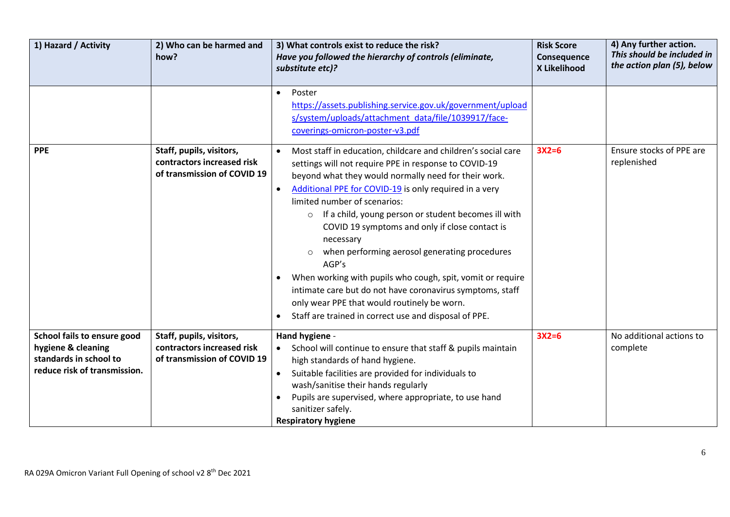| 1) Hazard / Activity                                                                                        | 2) Who can be harmed and<br>how?                                                      | 3) What controls exist to reduce the risk?<br>Have you followed the hierarchy of controls (eliminate,<br>substitute etc)?                                                                                                                                                                                                                                                                                                                                                                                                                                                                                                                                                                               | <b>Risk Score</b><br>Consequence<br>X Likelihood | 4) Any further action.<br>This should be included in<br>the action plan (5), below |
|-------------------------------------------------------------------------------------------------------------|---------------------------------------------------------------------------------------|---------------------------------------------------------------------------------------------------------------------------------------------------------------------------------------------------------------------------------------------------------------------------------------------------------------------------------------------------------------------------------------------------------------------------------------------------------------------------------------------------------------------------------------------------------------------------------------------------------------------------------------------------------------------------------------------------------|--------------------------------------------------|------------------------------------------------------------------------------------|
|                                                                                                             |                                                                                       | Poster<br>$\bullet$<br>https://assets.publishing.service.gov.uk/government/upload<br>s/system/uploads/attachment_data/file/1039917/face-<br>coverings-omicron-poster-v3.pdf                                                                                                                                                                                                                                                                                                                                                                                                                                                                                                                             |                                                  |                                                                                    |
| <b>PPE</b>                                                                                                  | Staff, pupils, visitors,<br>contractors increased risk<br>of transmission of COVID 19 | Most staff in education, childcare and children's social care<br>settings will not require PPE in response to COVID-19<br>beyond what they would normally need for their work.<br>Additional PPE for COVID-19 is only required in a very<br>limited number of scenarios:<br>If a child, young person or student becomes ill with<br>$\circ$<br>COVID 19 symptoms and only if close contact is<br>necessary<br>when performing aerosol generating procedures<br>AGP's<br>When working with pupils who cough, spit, vomit or require<br>intimate care but do not have coronavirus symptoms, staff<br>only wear PPE that would routinely be worn.<br>Staff are trained in correct use and disposal of PPE. | $3X2=6$                                          | Ensure stocks of PPE are<br>replenished                                            |
| School fails to ensure good<br>hygiene & cleaning<br>standards in school to<br>reduce risk of transmission. | Staff, pupils, visitors,<br>contractors increased risk<br>of transmission of COVID 19 | Hand hygiene -<br>School will continue to ensure that staff & pupils maintain<br>high standards of hand hygiene.<br>Suitable facilities are provided for individuals to<br>wash/sanitise their hands regularly<br>Pupils are supervised, where appropriate, to use hand<br>sanitizer safely.<br><b>Respiratory hygiene</b>                                                                                                                                                                                                                                                                                                                                                                              | $3X2=6$                                          | No additional actions to<br>complete                                               |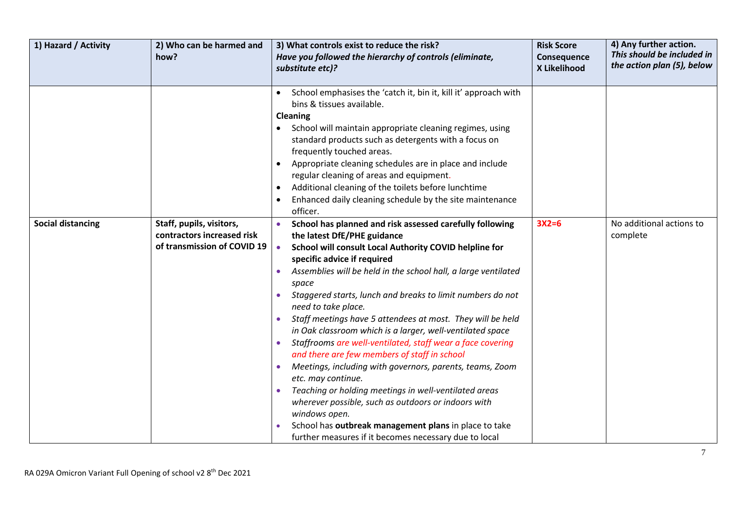| 1) Hazard / Activity     | 2) Who can be harmed and<br>how?                                                      | 3) What controls exist to reduce the risk?<br>Have you followed the hierarchy of controls (eliminate,<br>substitute etc)?                                                                                                                                                                                                                                                                                                                                                                                                                                                                                                                                                                                                                                                                                                                                                                                                                   | <b>Risk Score</b><br>Consequence<br>X Likelihood | 4) Any further action.<br>This should be included in<br>the action plan (5), below |
|--------------------------|---------------------------------------------------------------------------------------|---------------------------------------------------------------------------------------------------------------------------------------------------------------------------------------------------------------------------------------------------------------------------------------------------------------------------------------------------------------------------------------------------------------------------------------------------------------------------------------------------------------------------------------------------------------------------------------------------------------------------------------------------------------------------------------------------------------------------------------------------------------------------------------------------------------------------------------------------------------------------------------------------------------------------------------------|--------------------------------------------------|------------------------------------------------------------------------------------|
|                          |                                                                                       | School emphasises the 'catch it, bin it, kill it' approach with<br>bins & tissues available.<br>Cleaning<br>School will maintain appropriate cleaning regimes, using<br>standard products such as detergents with a focus on<br>frequently touched areas.<br>Appropriate cleaning schedules are in place and include<br>regular cleaning of areas and equipment.<br>Additional cleaning of the toilets before lunchtime<br>Enhanced daily cleaning schedule by the site maintenance<br>officer.                                                                                                                                                                                                                                                                                                                                                                                                                                             |                                                  |                                                                                    |
| <b>Social distancing</b> | Staff, pupils, visitors,<br>contractors increased risk<br>of transmission of COVID 19 | School has planned and risk assessed carefully following<br>the latest DfE/PHE guidance<br>School will consult Local Authority COVID helpline for<br>$\bullet$<br>specific advice if required<br>Assemblies will be held in the school hall, a large ventilated<br>space<br>Staggered starts, lunch and breaks to limit numbers do not<br>need to take place.<br>Staff meetings have 5 attendees at most. They will be held<br>in Oak classroom which is a larger, well-ventilated space<br>Staffrooms are well-ventilated, staff wear a face covering<br>and there are few members of staff in school<br>Meetings, including with governors, parents, teams, Zoom<br>etc. may continue.<br>Teaching or holding meetings in well-ventilated areas<br>wherever possible, such as outdoors or indoors with<br>windows open.<br>School has outbreak management plans in place to take<br>further measures if it becomes necessary due to local | $3X2=6$                                          | No additional actions to<br>complete                                               |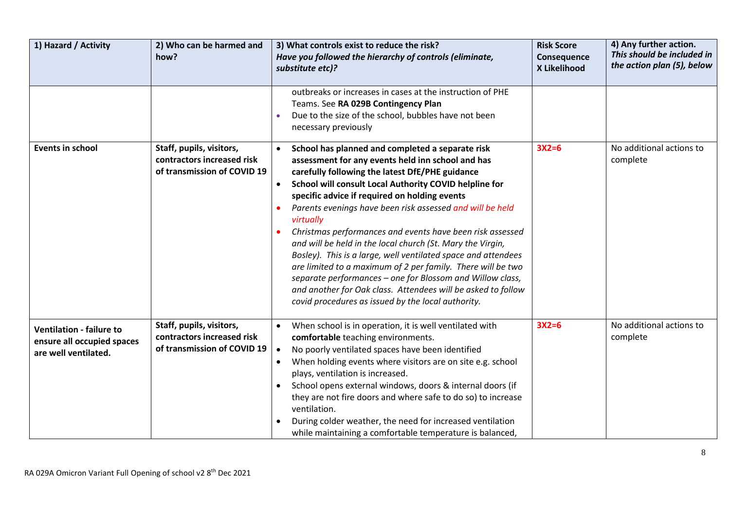| 1) Hazard / Activity                                                                  | 2) Who can be harmed and<br>how?                                                      | 3) What controls exist to reduce the risk?<br>Have you followed the hierarchy of controls (eliminate,<br>substitute etc)?                                                                                                                                                                                                                                                                                                                                                                                                                                                                                                                                                                                                                                                                                | <b>Risk Score</b><br>Consequence<br>X Likelihood | 4) Any further action.<br>This should be included in<br>the action plan (5), below |
|---------------------------------------------------------------------------------------|---------------------------------------------------------------------------------------|----------------------------------------------------------------------------------------------------------------------------------------------------------------------------------------------------------------------------------------------------------------------------------------------------------------------------------------------------------------------------------------------------------------------------------------------------------------------------------------------------------------------------------------------------------------------------------------------------------------------------------------------------------------------------------------------------------------------------------------------------------------------------------------------------------|--------------------------------------------------|------------------------------------------------------------------------------------|
|                                                                                       |                                                                                       | outbreaks or increases in cases at the instruction of PHE<br>Teams. See RA 029B Contingency Plan<br>Due to the size of the school, bubbles have not been<br>necessary previously                                                                                                                                                                                                                                                                                                                                                                                                                                                                                                                                                                                                                         |                                                  |                                                                                    |
| <b>Events in school</b>                                                               | Staff, pupils, visitors,<br>contractors increased risk<br>of transmission of COVID 19 | School has planned and completed a separate risk<br>assessment for any events held inn school and has<br>carefully following the latest DfE/PHE guidance<br>School will consult Local Authority COVID helpline for<br>$\bullet$<br>specific advice if required on holding events<br>Parents evenings have been risk assessed and will be held<br>virtually<br>Christmas performances and events have been risk assessed<br>and will be held in the local church (St. Mary the Virgin,<br>Bosley). This is a large, well ventilated space and attendees<br>are limited to a maximum of 2 per family. There will be two<br>separate performances - one for Blossom and Willow class,<br>and another for Oak class. Attendees will be asked to follow<br>covid procedures as issued by the local authority. | $3X2=6$                                          | No additional actions to<br>complete                                               |
| <b>Ventilation - failure to</b><br>ensure all occupied spaces<br>are well ventilated. | Staff, pupils, visitors,<br>contractors increased risk<br>of transmission of COVID 19 | When school is in operation, it is well ventilated with<br>comfortable teaching environments.<br>No poorly ventilated spaces have been identified<br>$\bullet$<br>When holding events where visitors are on site e.g. school<br>plays, ventilation is increased.<br>School opens external windows, doors & internal doors (if<br>they are not fire doors and where safe to do so) to increase<br>ventilation.<br>During colder weather, the need for increased ventilation<br>while maintaining a comfortable temperature is balanced,                                                                                                                                                                                                                                                                   | $3X2=6$                                          | No additional actions to<br>complete                                               |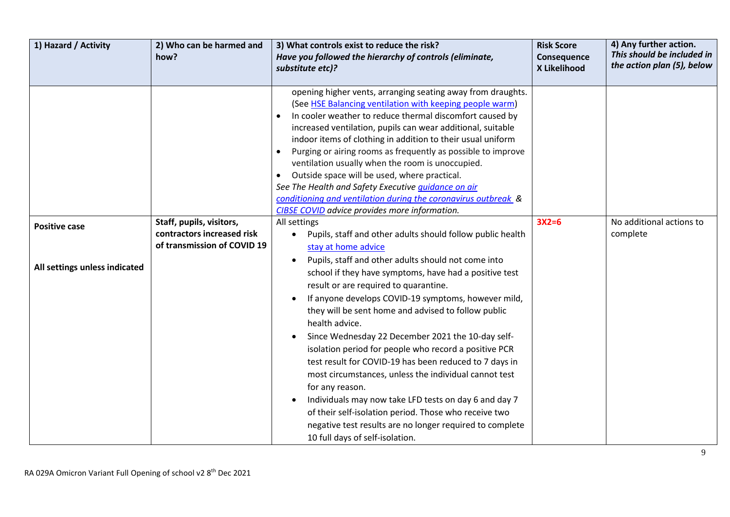| 1) Hazard / Activity          | 2) Who can be harmed and<br>how?                          | 3) What controls exist to reduce the risk?<br>Have you followed the hierarchy of controls (eliminate,<br>substitute etc)?                                                                                                                                                                                                                                                                                                                                                                                                                                                                                                                                                                                                                                                                                                                                     | <b>Risk Score</b><br>Consequence<br>X Likelihood | 4) Any further action.<br>This should be included in<br>the action plan (5), below |
|-------------------------------|-----------------------------------------------------------|---------------------------------------------------------------------------------------------------------------------------------------------------------------------------------------------------------------------------------------------------------------------------------------------------------------------------------------------------------------------------------------------------------------------------------------------------------------------------------------------------------------------------------------------------------------------------------------------------------------------------------------------------------------------------------------------------------------------------------------------------------------------------------------------------------------------------------------------------------------|--------------------------------------------------|------------------------------------------------------------------------------------|
|                               |                                                           | opening higher vents, arranging seating away from draughts.<br>(See HSE Balancing ventilation with keeping people warm)<br>In cooler weather to reduce thermal discomfort caused by<br>increased ventilation, pupils can wear additional, suitable<br>indoor items of clothing in addition to their usual uniform<br>Purging or airing rooms as frequently as possible to improve<br>ventilation usually when the room is unoccupied.<br>Outside space will be used, where practical.<br>See The Health and Safety Executive quidance on air<br>conditioning and ventilation during the coronavirus outbreak &<br><b>CIBSE COVID</b> advice provides more information.                                                                                                                                                                                        |                                                  |                                                                                    |
| <b>Positive case</b>          | Staff, pupils, visitors,                                  | All settings                                                                                                                                                                                                                                                                                                                                                                                                                                                                                                                                                                                                                                                                                                                                                                                                                                                  | $3X2=6$                                          | No additional actions to                                                           |
| All settings unless indicated | contractors increased risk<br>of transmission of COVID 19 | Pupils, staff and other adults should follow public health<br>stay at home advice<br>Pupils, staff and other adults should not come into<br>$\bullet$<br>school if they have symptoms, have had a positive test<br>result or are required to quarantine.<br>If anyone develops COVID-19 symptoms, however mild,<br>they will be sent home and advised to follow public<br>health advice.<br>Since Wednesday 22 December 2021 the 10-day self-<br>isolation period for people who record a positive PCR<br>test result for COVID-19 has been reduced to 7 days in<br>most circumstances, unless the individual cannot test<br>for any reason.<br>Individuals may now take LFD tests on day 6 and day 7<br>of their self-isolation period. Those who receive two<br>negative test results are no longer required to complete<br>10 full days of self-isolation. |                                                  | complete                                                                           |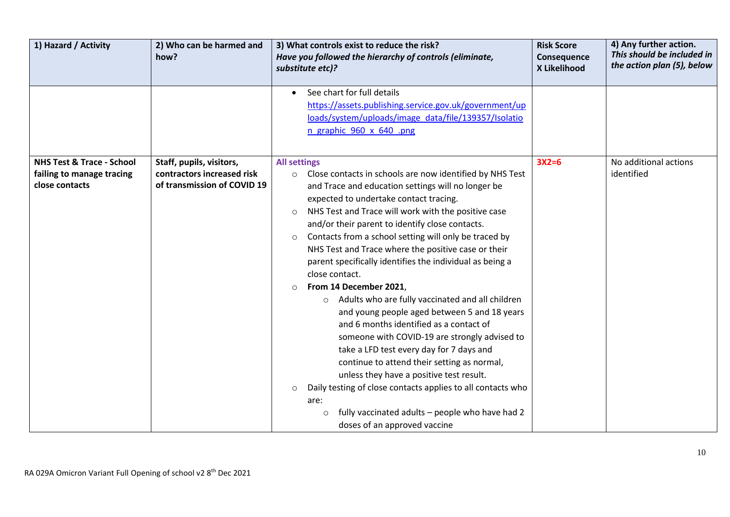| 1) Hazard / Activity                                                                | 2) Who can be harmed and<br>how?                                                      | 3) What controls exist to reduce the risk?<br>Have you followed the hierarchy of controls (eliminate,<br>substitute etc)?                                                                                                                                                                                                                                                                                                                                                                                                                                                                                                                                                                                                                                                                                                                                                                                                                                                                                                                                                              | <b>Risk Score</b><br>Consequence<br>X Likelihood | 4) Any further action.<br>This should be included in<br>the action plan (5), below |
|-------------------------------------------------------------------------------------|---------------------------------------------------------------------------------------|----------------------------------------------------------------------------------------------------------------------------------------------------------------------------------------------------------------------------------------------------------------------------------------------------------------------------------------------------------------------------------------------------------------------------------------------------------------------------------------------------------------------------------------------------------------------------------------------------------------------------------------------------------------------------------------------------------------------------------------------------------------------------------------------------------------------------------------------------------------------------------------------------------------------------------------------------------------------------------------------------------------------------------------------------------------------------------------|--------------------------------------------------|------------------------------------------------------------------------------------|
|                                                                                     |                                                                                       | See chart for full details<br>$\bullet$<br>https://assets.publishing.service.gov.uk/government/up<br>loads/system/uploads/image_data/file/139357/Isolatio<br>n graphic 960 x 640 .png                                                                                                                                                                                                                                                                                                                                                                                                                                                                                                                                                                                                                                                                                                                                                                                                                                                                                                  |                                                  |                                                                                    |
| <b>NHS Test &amp; Trace - School</b><br>failing to manage tracing<br>close contacts | Staff, pupils, visitors,<br>contractors increased risk<br>of transmission of COVID 19 | <b>All settings</b><br>O Close contacts in schools are now identified by NHS Test<br>and Trace and education settings will no longer be<br>expected to undertake contact tracing.<br>NHS Test and Trace will work with the positive case<br>$\circ$<br>and/or their parent to identify close contacts.<br>Contacts from a school setting will only be traced by<br>$\circ$<br>NHS Test and Trace where the positive case or their<br>parent specifically identifies the individual as being a<br>close contact.<br>From 14 December 2021,<br>$\circ$<br>Adults who are fully vaccinated and all children<br>$\circ$<br>and young people aged between 5 and 18 years<br>and 6 months identified as a contact of<br>someone with COVID-19 are strongly advised to<br>take a LFD test every day for 7 days and<br>continue to attend their setting as normal,<br>unless they have a positive test result.<br>Daily testing of close contacts applies to all contacts who<br>$\circ$<br>are:<br>fully vaccinated adults - people who have had 2<br>$\circ$<br>doses of an approved vaccine | $3X2=6$                                          | No additional actions<br>identified                                                |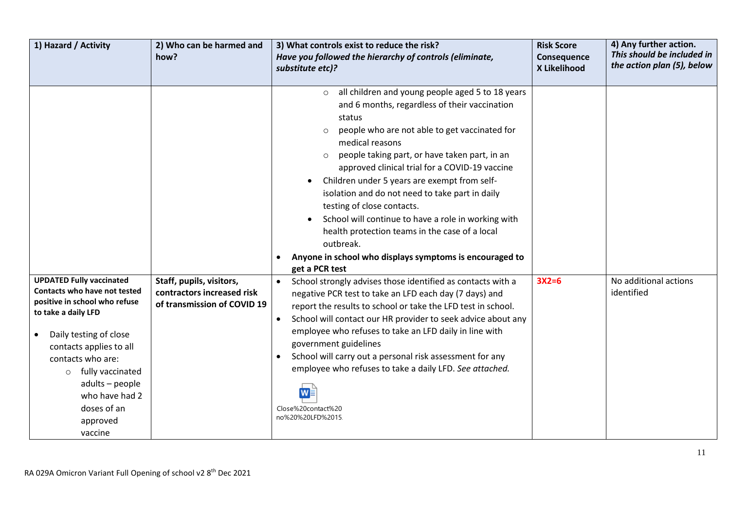| 1) Hazard / Activity                                                                                                                                                                                                                                                                                        | 2) Who can be harmed and<br>how?                                                      | 3) What controls exist to reduce the risk?<br>Have you followed the hierarchy of controls (eliminate,<br>substitute etc)?                                                                                                                                                                                                                                                                                                                                                                                                                                                                                                                                            | <b>Risk Score</b><br>Consequence<br>X Likelihood | 4) Any further action.<br>This should be included in<br>the action plan (5), below |
|-------------------------------------------------------------------------------------------------------------------------------------------------------------------------------------------------------------------------------------------------------------------------------------------------------------|---------------------------------------------------------------------------------------|----------------------------------------------------------------------------------------------------------------------------------------------------------------------------------------------------------------------------------------------------------------------------------------------------------------------------------------------------------------------------------------------------------------------------------------------------------------------------------------------------------------------------------------------------------------------------------------------------------------------------------------------------------------------|--------------------------------------------------|------------------------------------------------------------------------------------|
|                                                                                                                                                                                                                                                                                                             |                                                                                       | all children and young people aged 5 to 18 years<br>$\circ$<br>and 6 months, regardless of their vaccination<br>status<br>people who are not able to get vaccinated for<br>$\circ$<br>medical reasons<br>people taking part, or have taken part, in an<br>$\circ$<br>approved clinical trial for a COVID-19 vaccine<br>Children under 5 years are exempt from self-<br>$\bullet$<br>isolation and do not need to take part in daily<br>testing of close contacts.<br>School will continue to have a role in working with<br>health protection teams in the case of a local<br>outbreak.<br>Anyone in school who displays symptoms is encouraged to<br>get a PCR test |                                                  |                                                                                    |
| <b>UPDATED Fully vaccinated</b><br>Contacts who have not tested<br>positive in school who refuse<br>to take a daily LFD<br>Daily testing of close<br>contacts applies to all<br>contacts who are:<br>fully vaccinated<br>$\circ$<br>adults - people<br>who have had 2<br>doses of an<br>approved<br>vaccine | Staff, pupils, visitors,<br>contractors increased risk<br>of transmission of COVID 19 | School strongly advises those identified as contacts with a<br>$\bullet$<br>negative PCR test to take an LFD each day (7 days) and<br>report the results to school or take the LFD test in school.<br>School will contact our HR provider to seek advice about any<br>employee who refuses to take an LFD daily in line with<br>government guidelines<br>School will carry out a personal risk assessment for any<br>$\bullet$<br>employee who refuses to take a daily LFD. See attached.<br>Close%20contact%20<br>no%20%20LFD%2015                                                                                                                                  | $3X2=6$                                          | No additional actions<br>identified                                                |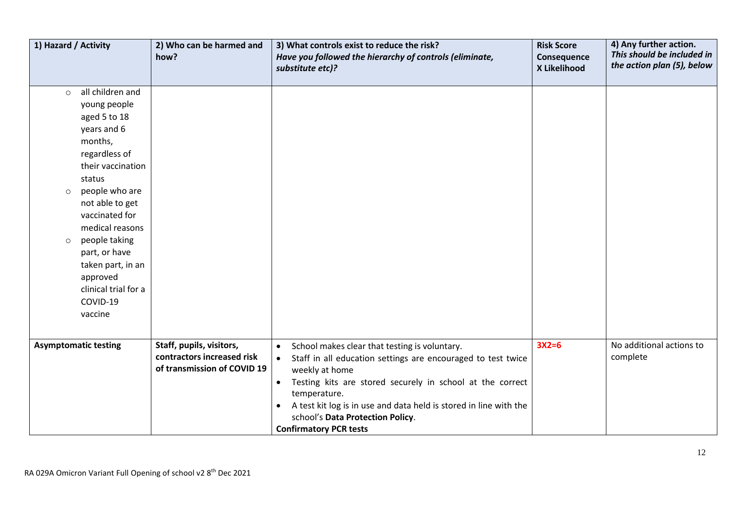| 1) Hazard / Activity          |                                                                                                                                                                                                                                                                                                                        | 2) Who can be harmed and<br>how?                                                      | 3) What controls exist to reduce the risk?<br>Have you followed the hierarchy of controls (eliminate,<br>substitute etc)?                                                                                                                                                                                                                                                                     | <b>Risk Score</b><br>Consequence<br>X Likelihood | 4) Any further action.<br>This should be included in<br>the action plan (5), below |
|-------------------------------|------------------------------------------------------------------------------------------------------------------------------------------------------------------------------------------------------------------------------------------------------------------------------------------------------------------------|---------------------------------------------------------------------------------------|-----------------------------------------------------------------------------------------------------------------------------------------------------------------------------------------------------------------------------------------------------------------------------------------------------------------------------------------------------------------------------------------------|--------------------------------------------------|------------------------------------------------------------------------------------|
| $\circ$<br>$\circ$<br>$\circ$ | all children and<br>young people<br>aged 5 to 18<br>years and 6<br>months,<br>regardless of<br>their vaccination<br>status<br>people who are<br>not able to get<br>vaccinated for<br>medical reasons<br>people taking<br>part, or have<br>taken part, in an<br>approved<br>clinical trial for a<br>COVID-19<br>vaccine |                                                                                       |                                                                                                                                                                                                                                                                                                                                                                                               |                                                  |                                                                                    |
| <b>Asymptomatic testing</b>   |                                                                                                                                                                                                                                                                                                                        | Staff, pupils, visitors,<br>contractors increased risk<br>of transmission of COVID 19 | School makes clear that testing is voluntary.<br>$\bullet$<br>Staff in all education settings are encouraged to test twice<br>$\bullet$<br>weekly at home<br>Testing kits are stored securely in school at the correct<br>$\bullet$<br>temperature.<br>A test kit log is in use and data held is stored in line with the<br>school's Data Protection Policy.<br><b>Confirmatory PCR tests</b> | $3X2=6$                                          | No additional actions to<br>complete                                               |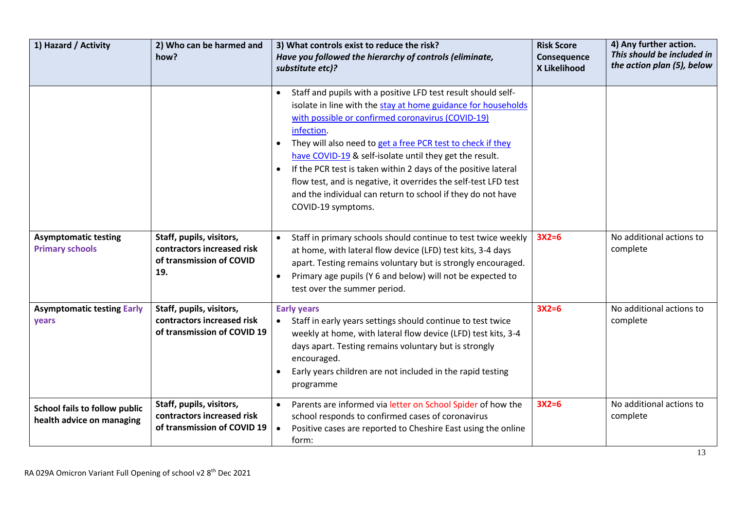| 1) Hazard / Activity                                              | 2) Who can be harmed and<br>how?                                                          | 3) What controls exist to reduce the risk?<br>Have you followed the hierarchy of controls (eliminate,<br>substitute etc)?                                                                                                                                                                                                                                                                                                                                                                                                                                          | <b>Risk Score</b><br>Consequence<br>X Likelihood | 4) Any further action.<br>This should be included in<br>the action plan (5), below |
|-------------------------------------------------------------------|-------------------------------------------------------------------------------------------|--------------------------------------------------------------------------------------------------------------------------------------------------------------------------------------------------------------------------------------------------------------------------------------------------------------------------------------------------------------------------------------------------------------------------------------------------------------------------------------------------------------------------------------------------------------------|--------------------------------------------------|------------------------------------------------------------------------------------|
|                                                                   |                                                                                           | Staff and pupils with a positive LFD test result should self-<br>$\bullet$<br>isolate in line with the stay at home guidance for households<br>with possible or confirmed coronavirus (COVID-19)<br>infection.<br>They will also need to get a free PCR test to check if they<br>have COVID-19 & self-isolate until they get the result.<br>If the PCR test is taken within 2 days of the positive lateral<br>flow test, and is negative, it overrides the self-test LFD test<br>and the individual can return to school if they do not have<br>COVID-19 symptoms. |                                                  |                                                                                    |
| <b>Asymptomatic testing</b><br><b>Primary schools</b>             | Staff, pupils, visitors,<br>contractors increased risk<br>of transmission of COVID<br>19. | Staff in primary schools should continue to test twice weekly<br>at home, with lateral flow device (LFD) test kits, 3-4 days<br>apart. Testing remains voluntary but is strongly encouraged.<br>Primary age pupils (Y 6 and below) will not be expected to<br>$\bullet$<br>test over the summer period.                                                                                                                                                                                                                                                            | $3X2=6$                                          | No additional actions to<br>complete                                               |
| <b>Asymptomatic testing Early</b><br>years                        | Staff, pupils, visitors,<br>contractors increased risk<br>of transmission of COVID 19     | <b>Early years</b><br>Staff in early years settings should continue to test twice<br>weekly at home, with lateral flow device (LFD) test kits, 3-4<br>days apart. Testing remains voluntary but is strongly<br>encouraged.<br>Early years children are not included in the rapid testing<br>programme                                                                                                                                                                                                                                                              | $3X2=6$                                          | No additional actions to<br>complete                                               |
| <b>School fails to follow public</b><br>health advice on managing | Staff, pupils, visitors,<br>contractors increased risk<br>of transmission of COVID 19     | Parents are informed via letter on School Spider of how the<br>school responds to confirmed cases of coronavirus<br>Positive cases are reported to Cheshire East using the online<br>$\bullet$<br>form:                                                                                                                                                                                                                                                                                                                                                            | $3X2=6$                                          | No additional actions to<br>complete                                               |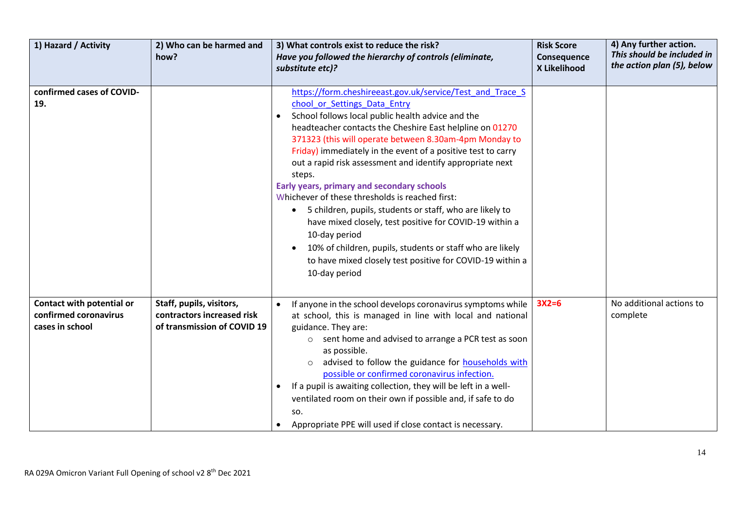| 1) Hazard / Activity                                                  | 2) Who can be harmed and<br>how?                                                      | 3) What controls exist to reduce the risk?<br>Have you followed the hierarchy of controls (eliminate,<br>substitute etc)?                                                                                                                                                                                                                                                                                                                                                                                                                                                                                                                                                                                                                                                                       | <b>Risk Score</b><br>Consequence<br>X Likelihood | 4) Any further action.<br>This should be included in<br>the action plan (5), below |
|-----------------------------------------------------------------------|---------------------------------------------------------------------------------------|-------------------------------------------------------------------------------------------------------------------------------------------------------------------------------------------------------------------------------------------------------------------------------------------------------------------------------------------------------------------------------------------------------------------------------------------------------------------------------------------------------------------------------------------------------------------------------------------------------------------------------------------------------------------------------------------------------------------------------------------------------------------------------------------------|--------------------------------------------------|------------------------------------------------------------------------------------|
| confirmed cases of COVID-<br>19.                                      |                                                                                       | https://form.cheshireeast.gov.uk/service/Test and Trace S<br>chool or Settings Data Entry<br>School follows local public health advice and the<br>headteacher contacts the Cheshire East helpline on 01270<br>371323 (this will operate between 8.30am-4pm Monday to<br>Friday) immediately in the event of a positive test to carry<br>out a rapid risk assessment and identify appropriate next<br>steps.<br>Early years, primary and secondary schools<br>Whichever of these thresholds is reached first:<br>5 children, pupils, students or staff, who are likely to<br>have mixed closely, test positive for COVID-19 within a<br>10-day period<br>10% of children, pupils, students or staff who are likely<br>to have mixed closely test positive for COVID-19 within a<br>10-day period |                                                  |                                                                                    |
| Contact with potential or<br>confirmed coronavirus<br>cases in school | Staff, pupils, visitors,<br>contractors increased risk<br>of transmission of COVID 19 | If anyone in the school develops coronavirus symptoms while<br>at school, this is managed in line with local and national<br>guidance. They are:<br>o sent home and advised to arrange a PCR test as soon<br>as possible.<br>advised to follow the guidance for households with<br>possible or confirmed coronavirus infection.<br>If a pupil is awaiting collection, they will be left in a well-<br>ventilated room on their own if possible and, if safe to do<br>SO.<br>Appropriate PPE will used if close contact is necessary.                                                                                                                                                                                                                                                            | $3X2=6$                                          | No additional actions to<br>complete                                               |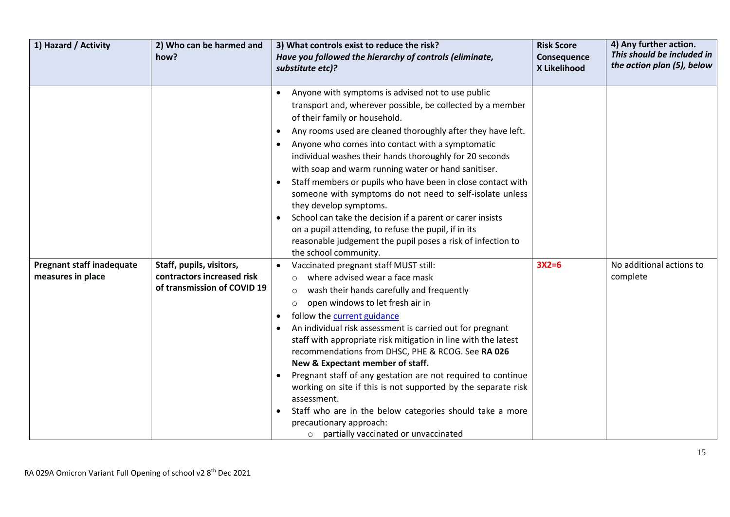| 1) Hazard / Activity                                  | 2) Who can be harmed and<br>how?                                                      | 3) What controls exist to reduce the risk?<br>Have you followed the hierarchy of controls (eliminate,<br>substitute etc)?                                                                                                                                                                                                                                                                                                                                                                                                                                                                                                                                                                                                                               | <b>Risk Score</b><br>Consequence<br>X Likelihood | 4) Any further action.<br>This should be included in<br>the action plan (5), below |
|-------------------------------------------------------|---------------------------------------------------------------------------------------|---------------------------------------------------------------------------------------------------------------------------------------------------------------------------------------------------------------------------------------------------------------------------------------------------------------------------------------------------------------------------------------------------------------------------------------------------------------------------------------------------------------------------------------------------------------------------------------------------------------------------------------------------------------------------------------------------------------------------------------------------------|--------------------------------------------------|------------------------------------------------------------------------------------|
|                                                       |                                                                                       | Anyone with symptoms is advised not to use public<br>transport and, wherever possible, be collected by a member<br>of their family or household.<br>Any rooms used are cleaned thoroughly after they have left.<br>Anyone who comes into contact with a symptomatic<br>individual washes their hands thoroughly for 20 seconds<br>with soap and warm running water or hand sanitiser.<br>Staff members or pupils who have been in close contact with<br>someone with symptoms do not need to self-isolate unless<br>they develop symptoms.<br>School can take the decision if a parent or carer insists<br>on a pupil attending, to refuse the pupil, if in its<br>reasonable judgement the pupil poses a risk of infection to<br>the school community. |                                                  |                                                                                    |
| <b>Pregnant staff inadequate</b><br>measures in place | Staff, pupils, visitors,<br>contractors increased risk<br>of transmission of COVID 19 | Vaccinated pregnant staff MUST still:<br>where advised wear a face mask<br>$\circ$<br>wash their hands carefully and frequently<br>$\circ$<br>open windows to let fresh air in<br>follow the current guidance<br>$\bullet$<br>An individual risk assessment is carried out for pregnant<br>staff with appropriate risk mitigation in line with the latest<br>recommendations from DHSC, PHE & RCOG. See RA 026<br>New & Expectant member of staff.<br>Pregnant staff of any gestation are not required to continue<br>working on site if this is not supported by the separate risk<br>assessment.<br>Staff who are in the below categories should take a more<br>precautionary approach:<br>o partially vaccinated or unvaccinated                     | $3X2=6$                                          | No additional actions to<br>complete                                               |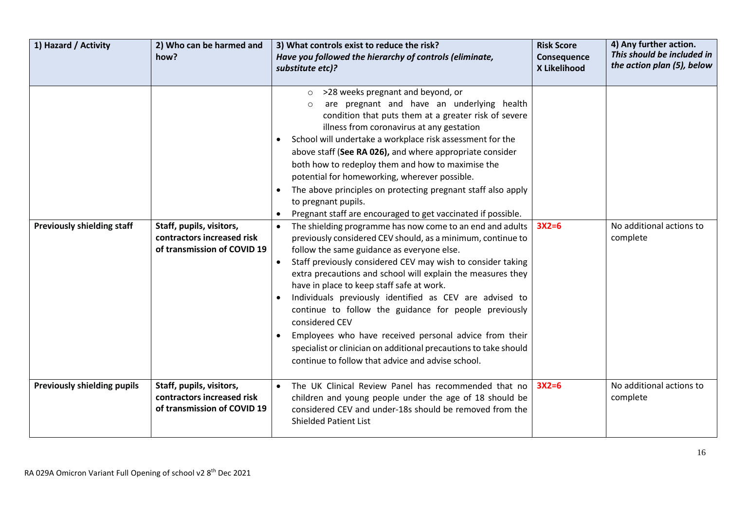| 1) Hazard / Activity               | 2) Who can be harmed and<br>how?                                                      | 3) What controls exist to reduce the risk?<br>Have you followed the hierarchy of controls (eliminate,<br>substitute etc)?                                                                                                                                                                                                                                                                                                                                                                                                                                                                                                                                                   | <b>Risk Score</b><br>Consequence<br>X Likelihood | 4) Any further action.<br>This should be included in<br>the action plan (5), below |
|------------------------------------|---------------------------------------------------------------------------------------|-----------------------------------------------------------------------------------------------------------------------------------------------------------------------------------------------------------------------------------------------------------------------------------------------------------------------------------------------------------------------------------------------------------------------------------------------------------------------------------------------------------------------------------------------------------------------------------------------------------------------------------------------------------------------------|--------------------------------------------------|------------------------------------------------------------------------------------|
| <b>Previously shielding staff</b>  | Staff, pupils, visitors,                                                              | >28 weeks pregnant and beyond, or<br>$\circ$<br>are pregnant and have an underlying health<br>$\Omega$<br>condition that puts them at a greater risk of severe<br>illness from coronavirus at any gestation<br>School will undertake a workplace risk assessment for the<br>above staff (See RA 026), and where appropriate consider<br>both how to redeploy them and how to maximise the<br>potential for homeworking, wherever possible.<br>The above principles on protecting pregnant staff also apply<br>$\bullet$<br>to pregnant pupils.<br>Pregnant staff are encouraged to get vaccinated if possible.<br>The shielding programme has now come to an end and adults | $3X2=6$                                          | No additional actions to                                                           |
|                                    | contractors increased risk<br>of transmission of COVID 19                             | previously considered CEV should, as a minimum, continue to<br>follow the same guidance as everyone else.<br>Staff previously considered CEV may wish to consider taking<br>extra precautions and school will explain the measures they<br>have in place to keep staff safe at work.<br>Individuals previously identified as CEV are advised to<br>continue to follow the guidance for people previously<br>considered CEV<br>Employees who have received personal advice from their<br>specialist or clinician on additional precautions to take should<br>continue to follow that advice and advise school.                                                               |                                                  | complete                                                                           |
| <b>Previously shielding pupils</b> | Staff, pupils, visitors,<br>contractors increased risk<br>of transmission of COVID 19 | The UK Clinical Review Panel has recommended that no<br>$\bullet$<br>children and young people under the age of 18 should be<br>considered CEV and under-18s should be removed from the<br><b>Shielded Patient List</b>                                                                                                                                                                                                                                                                                                                                                                                                                                                     | $3X2=6$                                          | No additional actions to<br>complete                                               |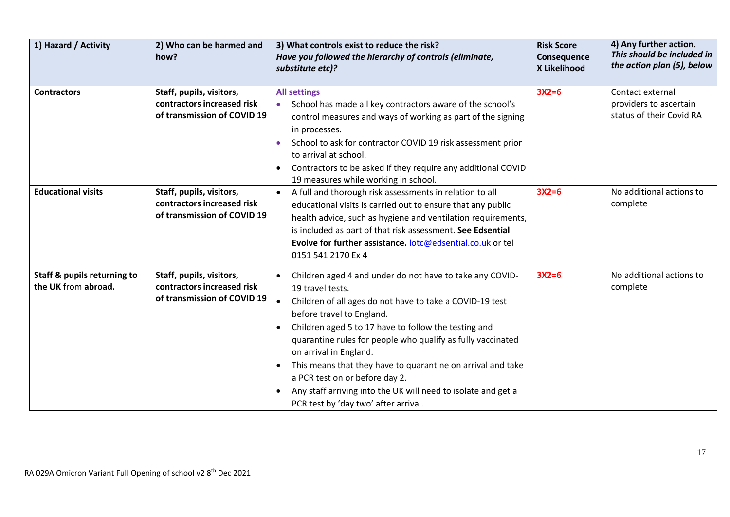| 1) Hazard / Activity                                          | 2) Who can be harmed and<br>how?                                                      | 3) What controls exist to reduce the risk?<br>Have you followed the hierarchy of controls (eliminate,<br>substitute etc)?                                                                                                                                                                                                                                                                                                                                                                                                        | <b>Risk Score</b><br>Consequence<br>X Likelihood | 4) Any further action.<br>This should be included in<br>the action plan (5), below |  |
|---------------------------------------------------------------|---------------------------------------------------------------------------------------|----------------------------------------------------------------------------------------------------------------------------------------------------------------------------------------------------------------------------------------------------------------------------------------------------------------------------------------------------------------------------------------------------------------------------------------------------------------------------------------------------------------------------------|--------------------------------------------------|------------------------------------------------------------------------------------|--|
| <b>Contractors</b>                                            | Staff, pupils, visitors,<br>contractors increased risk<br>of transmission of COVID 19 | <b>All settings</b><br>School has made all key contractors aware of the school's<br>control measures and ways of working as part of the signing<br>in processes.<br>School to ask for contractor COVID 19 risk assessment prior<br>to arrival at school.<br>Contractors to be asked if they require any additional COVID<br>19 measures while working in school.                                                                                                                                                                 | $3X2=6$                                          | Contact external<br>providers to ascertain<br>status of their Covid RA             |  |
| <b>Educational visits</b>                                     | Staff, pupils, visitors,<br>contractors increased risk<br>of transmission of COVID 19 | A full and thorough risk assessments in relation to all<br>$\bullet$<br>educational visits is carried out to ensure that any public<br>health advice, such as hygiene and ventilation requirements,<br>is included as part of that risk assessment. See Edsential<br>Evolve for further assistance. lotc@edsential.co.uk or tel<br>0151 541 2170 Ex 4                                                                                                                                                                            | $3X2=6$                                          | No additional actions to<br>complete                                               |  |
| <b>Staff &amp; pupils returning to</b><br>the UK from abroad. | Staff, pupils, visitors,<br>contractors increased risk<br>of transmission of COVID 19 | Children aged 4 and under do not have to take any COVID-<br>19 travel tests.<br>Children of all ages do not have to take a COVID-19 test<br>before travel to England.<br>Children aged 5 to 17 have to follow the testing and<br>quarantine rules for people who qualify as fully vaccinated<br>on arrival in England.<br>This means that they have to quarantine on arrival and take<br>a PCR test on or before day 2.<br>Any staff arriving into the UK will need to isolate and get a<br>PCR test by 'day two' after arrival. | $3X2=6$                                          | No additional actions to<br>complete                                               |  |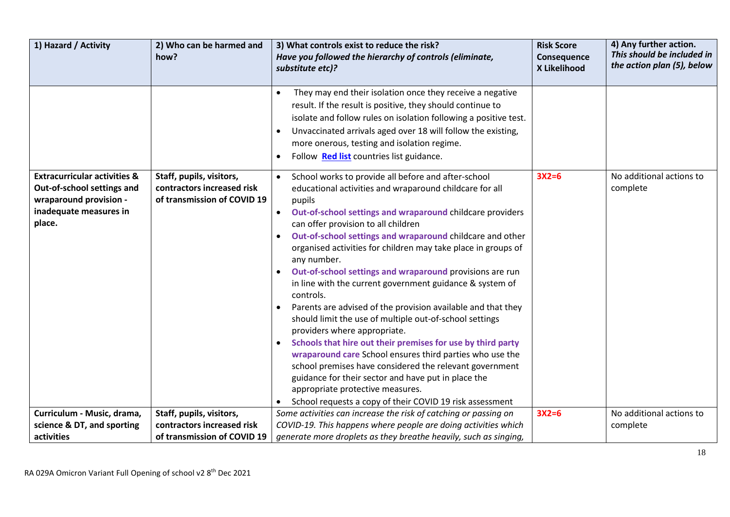| 1) Hazard / Activity                                                                                                                | 2) Who can be harmed and<br>how?                                                      | 3) What controls exist to reduce the risk?<br>Have you followed the hierarchy of controls (eliminate,<br>substitute etc)?                                                                          | <b>Risk Score</b><br>Consequence<br>X Likelihood | 4) Any further action.<br>This should be included in<br>the action plan (5), below |
|-------------------------------------------------------------------------------------------------------------------------------------|---------------------------------------------------------------------------------------|----------------------------------------------------------------------------------------------------------------------------------------------------------------------------------------------------|--------------------------------------------------|------------------------------------------------------------------------------------|
|                                                                                                                                     |                                                                                       | They may end their isolation once they receive a negative                                                                                                                                          |                                                  |                                                                                    |
|                                                                                                                                     |                                                                                       | result. If the result is positive, they should continue to<br>isolate and follow rules on isolation following a positive test.                                                                     |                                                  |                                                                                    |
|                                                                                                                                     |                                                                                       | Unvaccinated arrivals aged over 18 will follow the existing,<br>more onerous, testing and isolation regime.<br>Follow Red list countries list guidance.                                            |                                                  |                                                                                    |
| <b>Extracurricular activities &amp;</b><br>Out-of-school settings and<br>wraparound provision -<br>inadequate measures in<br>place. | Staff, pupils, visitors,<br>contractors increased risk<br>of transmission of COVID 19 | School works to provide all before and after-school<br>$\bullet$<br>educational activities and wraparound childcare for all<br>pupils<br>Out-of-school settings and wraparound childcare providers | $3X2=6$                                          | No additional actions to<br>complete                                               |
|                                                                                                                                     |                                                                                       | can offer provision to all children<br>Out-of-school settings and wraparound childcare and other<br>organised activities for children may take place in groups of<br>any number.                   |                                                  |                                                                                    |
|                                                                                                                                     |                                                                                       | Out-of-school settings and wraparound provisions are run<br>in line with the current government guidance & system of<br>controls.                                                                  |                                                  |                                                                                    |
|                                                                                                                                     |                                                                                       | Parents are advised of the provision available and that they<br>should limit the use of multiple out-of-school settings<br>providers where appropriate.                                            |                                                  |                                                                                    |
|                                                                                                                                     |                                                                                       | Schools that hire out their premises for use by third party<br>wraparound care School ensures third parties who use the<br>school premises have considered the relevant government                 |                                                  |                                                                                    |
|                                                                                                                                     |                                                                                       | guidance for their sector and have put in place the<br>appropriate protective measures.<br>School requests a copy of their COVID 19 risk assessment                                                |                                                  |                                                                                    |
| Curriculum - Music, drama,                                                                                                          | Staff, pupils, visitors,                                                              | Some activities can increase the risk of catching or passing on                                                                                                                                    | $3X2=6$                                          | No additional actions to                                                           |
| science & DT, and sporting                                                                                                          | contractors increased risk                                                            | COVID-19. This happens where people are doing activities which                                                                                                                                     |                                                  | complete                                                                           |
| activities                                                                                                                          | of transmission of COVID 19                                                           | generate more droplets as they breathe heavily, such as singing,                                                                                                                                   |                                                  |                                                                                    |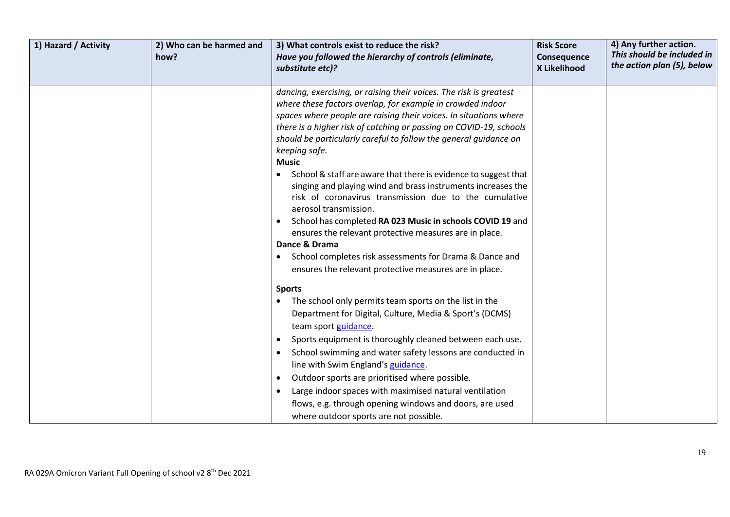| 1) Hazard / Activity | 2) Who can be harmed and<br>how? | 3) What controls exist to reduce the risk?<br>Have you followed the hierarchy of controls (eliminate,<br>substitute etc)?                                                                                                                                                                                                                                                                                                                                                                                                                                                                                                                                                                                                                                                                                                                                                        | <b>Risk Score</b><br>Consequence<br>X Likelihood | 4) Any further action.<br>This should be included in<br>the action plan (5), below |
|----------------------|----------------------------------|----------------------------------------------------------------------------------------------------------------------------------------------------------------------------------------------------------------------------------------------------------------------------------------------------------------------------------------------------------------------------------------------------------------------------------------------------------------------------------------------------------------------------------------------------------------------------------------------------------------------------------------------------------------------------------------------------------------------------------------------------------------------------------------------------------------------------------------------------------------------------------|--------------------------------------------------|------------------------------------------------------------------------------------|
|                      |                                  | dancing, exercising, or raising their voices. The risk is greatest<br>where these factors overlap, for example in crowded indoor<br>spaces where people are raising their voices. In situations where<br>there is a higher risk of catching or passing on COVID-19, schools<br>should be particularly careful to follow the general guidance on<br>keeping safe.<br><b>Music</b><br>School & staff are aware that there is evidence to suggest that<br>singing and playing wind and brass instruments increases the<br>risk of coronavirus transmission due to the cumulative<br>aerosol transmission.<br>School has completed RA 023 Music in schools COVID 19 and<br>$\bullet$<br>ensures the relevant protective measures are in place.<br>Dance & Drama<br>School completes risk assessments for Drama & Dance and<br>ensures the relevant protective measures are in place. |                                                  |                                                                                    |
|                      |                                  | <b>Sports</b><br>The school only permits team sports on the list in the<br>$\bullet$<br>Department for Digital, Culture, Media & Sport's (DCMS)<br>team sport guidance.<br>Sports equipment is thoroughly cleaned between each use.<br>School swimming and water safety lessons are conducted in<br>line with Swim England's guidance.<br>Outdoor sports are prioritised where possible.<br>Large indoor spaces with maximised natural ventilation<br>flows, e.g. through opening windows and doors, are used<br>where outdoor sports are not possible.                                                                                                                                                                                                                                                                                                                          |                                                  |                                                                                    |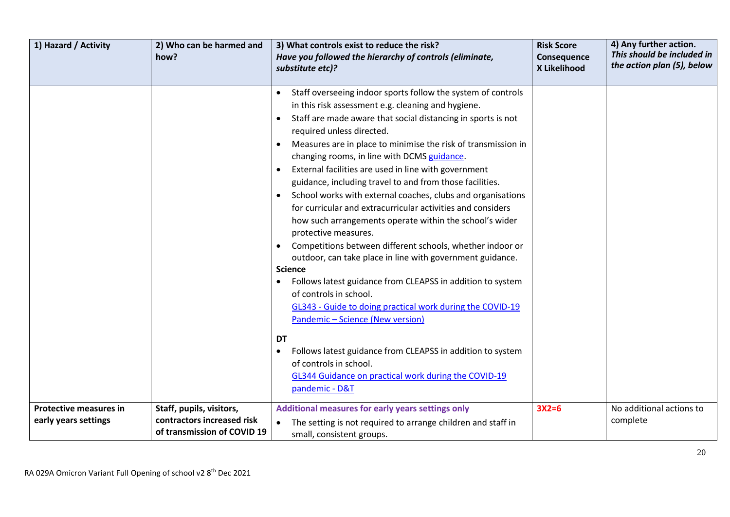| 1) Hazard / Activity                                  | 2) Who can be harmed and<br>how?                                                      | 3) What controls exist to reduce the risk?<br>Have you followed the hierarchy of controls (eliminate,<br>substitute etc)?                                                                                                                                                                                                                                                                                                                                                                                                                                                                                                                                                                                                                                                                                                                                                                                                                                                                                                                                                                                                                                                                                                             | <b>Risk Score</b><br>Consequence<br>X Likelihood | 4) Any further action.<br>This should be included in<br>the action plan (5), below |
|-------------------------------------------------------|---------------------------------------------------------------------------------------|---------------------------------------------------------------------------------------------------------------------------------------------------------------------------------------------------------------------------------------------------------------------------------------------------------------------------------------------------------------------------------------------------------------------------------------------------------------------------------------------------------------------------------------------------------------------------------------------------------------------------------------------------------------------------------------------------------------------------------------------------------------------------------------------------------------------------------------------------------------------------------------------------------------------------------------------------------------------------------------------------------------------------------------------------------------------------------------------------------------------------------------------------------------------------------------------------------------------------------------|--------------------------------------------------|------------------------------------------------------------------------------------|
|                                                       |                                                                                       | Staff overseeing indoor sports follow the system of controls<br>in this risk assessment e.g. cleaning and hygiene.<br>Staff are made aware that social distancing in sports is not<br>$\bullet$<br>required unless directed.<br>Measures are in place to minimise the risk of transmission in<br>changing rooms, in line with DCMS guidance.<br>External facilities are used in line with government<br>guidance, including travel to and from those facilities.<br>School works with external coaches, clubs and organisations<br>$\bullet$<br>for curricular and extracurricular activities and considers<br>how such arrangements operate within the school's wider<br>protective measures.<br>Competitions between different schools, whether indoor or<br>outdoor, can take place in line with government guidance.<br><b>Science</b><br>Follows latest guidance from CLEAPSS in addition to system<br>$\bullet$<br>of controls in school.<br>GL343 - Guide to doing practical work during the COVID-19<br>Pandemic - Science (New version)<br>DT<br>Follows latest guidance from CLEAPSS in addition to system<br>$\bullet$<br>of controls in school.<br>GL344 Guidance on practical work during the COVID-19<br>pandemic - D&T |                                                  |                                                                                    |
| <b>Protective measures in</b><br>early years settings | Staff, pupils, visitors,<br>contractors increased risk<br>of transmission of COVID 19 | Additional measures for early years settings only<br>The setting is not required to arrange children and staff in<br>small, consistent groups.                                                                                                                                                                                                                                                                                                                                                                                                                                                                                                                                                                                                                                                                                                                                                                                                                                                                                                                                                                                                                                                                                        | $3X2=6$                                          | No additional actions to<br>complete                                               |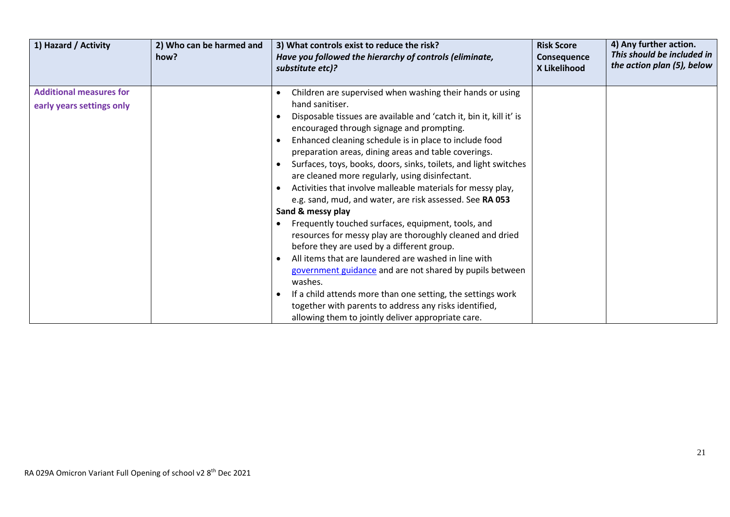| 1) Hazard / Activity                                        | 2) Who can be harmed and<br>how? | 3) What controls exist to reduce the risk?<br>Have you followed the hierarchy of controls (eliminate,<br>substitute etc)?                                                                                                                                                                                                                                                                                                                                                                                                                                                                                                                                                                                                                                                                                                                                                                                                                                                                                                                                                | <b>Risk Score</b><br>Consequence<br>X Likelihood | 4) Any further action.<br>This should be included in<br>the action plan (5), below |
|-------------------------------------------------------------|----------------------------------|--------------------------------------------------------------------------------------------------------------------------------------------------------------------------------------------------------------------------------------------------------------------------------------------------------------------------------------------------------------------------------------------------------------------------------------------------------------------------------------------------------------------------------------------------------------------------------------------------------------------------------------------------------------------------------------------------------------------------------------------------------------------------------------------------------------------------------------------------------------------------------------------------------------------------------------------------------------------------------------------------------------------------------------------------------------------------|--------------------------------------------------|------------------------------------------------------------------------------------|
| <b>Additional measures for</b><br>early years settings only |                                  | Children are supervised when washing their hands or using<br>hand sanitiser.<br>Disposable tissues are available and 'catch it, bin it, kill it' is<br>encouraged through signage and prompting.<br>Enhanced cleaning schedule is in place to include food<br>preparation areas, dining areas and table coverings.<br>Surfaces, toys, books, doors, sinks, toilets, and light switches<br>are cleaned more regularly, using disinfectant.<br>Activities that involve malleable materials for messy play,<br>e.g. sand, mud, and water, are risk assessed. See RA 053<br>Sand & messy play<br>Frequently touched surfaces, equipment, tools, and<br>resources for messy play are thoroughly cleaned and dried<br>before they are used by a different group.<br>All items that are laundered are washed in line with<br>government guidance and are not shared by pupils between<br>washes.<br>If a child attends more than one setting, the settings work<br>together with parents to address any risks identified,<br>allowing them to jointly deliver appropriate care. |                                                  |                                                                                    |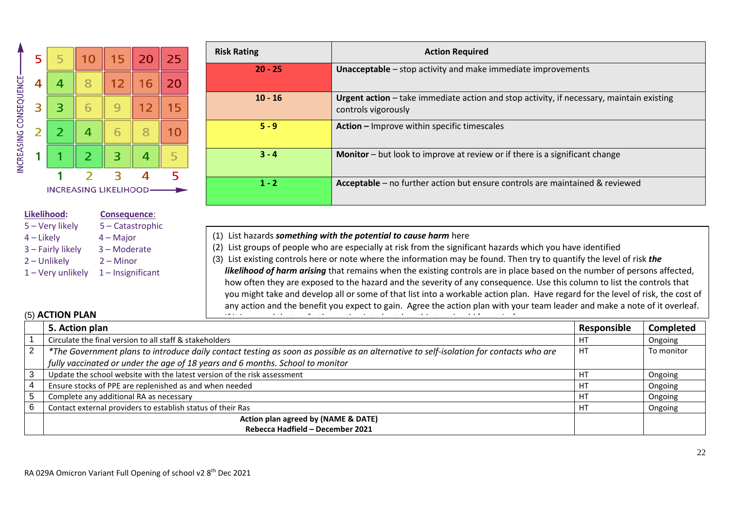

# **Likelihood: Consequence**:

- 5 Very likely 5 Catastrophic 4 – Likely 4 – Major 3 – Fairly likely 3 – Moderate
- 2 Unlikely 2 Minor
- $1 -$  Very unlikely  $1 -$  Insignificant

| <b>Risk Rating</b> | <b>Action Required</b>                                                                                          |
|--------------------|-----------------------------------------------------------------------------------------------------------------|
| $20 - 25$          | Unacceptable - stop activity and make immediate improvements                                                    |
| $10 - 16$          | Urgent action - take immediate action and stop activity, if necessary, maintain existing<br>controls vigorously |
| $5 - 9$            | Action - Improve within specific timescales                                                                     |
| $3 - 4$            | <b>Monitor</b> – but look to improve at review or if there is a significant change                              |
| $1 - 2$            | Acceptable – no further action but ensure controls are maintained & reviewed                                    |

- (1) List hazards *something with the potential to cause harm* here
- (2) List groups of people who are especially at risk from the significant hazards which you have identified
- (3) List existing controls here or note where the information may be found. Then try to quantify the level of risk *the likelihood of harm arising* that remains when the existing controls are in place based on the number of persons affected, how often they are exposed to the hazard and the severity of any consequence*.* Use this column to list the controls that you might take and develop all or some of that list into a workable action plan. Have regard for the level of risk, the cost of any action and the benefit you expect to gain. Agree the action plan with your team leader and make a note of it overleaf.

# (5) **ACTION PLAN**

|   | (5) ACTION PLAN<br>$\sim$ $\sim$<br>the contract of the contract of the contract of the contract of the contract of the contract of the contract of the contract of the contract of the contract of the contract of the contract of the contract of the contract o<br>.<br><b>Contact Contact Contact Contact Contact Contact Contact Contact Contact Contact Contact Contact Contact Contact</b><br>$\cdots$ |             |                  |
|---|---------------------------------------------------------------------------------------------------------------------------------------------------------------------------------------------------------------------------------------------------------------------------------------------------------------------------------------------------------------------------------------------------------------|-------------|------------------|
|   | 5. Action plan                                                                                                                                                                                                                                                                                                                                                                                                | Responsible | <b>Completed</b> |
|   | Circulate the final version to all staff & stakeholders                                                                                                                                                                                                                                                                                                                                                       | HТ          | Ongoing          |
| 2 | *The Government plans to introduce daily contact testing as soon as possible as an alternative to self-isolation for contacts who are                                                                                                                                                                                                                                                                         | HI          | To monitor       |
|   | fully vaccinated or under the age of 18 years and 6 months. School to monitor                                                                                                                                                                                                                                                                                                                                 |             |                  |
|   | Update the school website with the latest version of the risk assessment                                                                                                                                                                                                                                                                                                                                      |             | Ongoing          |
|   | Ensure stocks of PPE are replenished as and when needed                                                                                                                                                                                                                                                                                                                                                       |             | Ongoing          |
|   | Complete any additional RA as necessary                                                                                                                                                                                                                                                                                                                                                                       |             | Ongoing          |
|   | Contact external providers to establish status of their Ras                                                                                                                                                                                                                                                                                                                                                   | H1          | Ongoing          |
|   | Action plan agreed by (NAME & DATE)                                                                                                                                                                                                                                                                                                                                                                           |             |                  |
|   | Rebecca Hadfield - December 2021                                                                                                                                                                                                                                                                                                                                                                              |             |                  |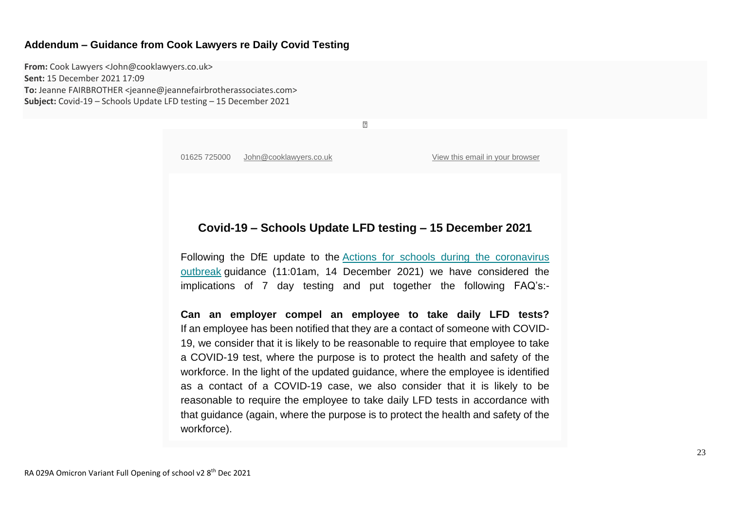#### **Addendum – Guidance from Cook Lawyers re Daily Covid Testing**

**From:** Cook Lawyers <John@cooklawyers.co.uk> **Sent:** 15 December 2021 17:09 **To:** Jeanne FAIRBROTHER <jeanne@jeannefairbrotherassociates.com> **Subject:** Covid-19 – Schools Update LFD testing – 15 December 2021

01625 725000 [John@cooklawyers.co.uk](mailto:John@cooklawyers.co.uk) View this email in your [browser](https://mailchi.mp/0aabf6d11dce/settlement-agreement-and-other-employment-law-legislation-affected-by-the-general-election-on-8-june-8063829?e=3f33a9dd76)

## **Covid-19 – Schools Update LFD testing – 15 December 2021**

 $\boxed{2}$ 

Following the DfE update to the Actions for schools during the [coronavirus](https://cooklawyers.us14.list-manage.com/track/click?u=3958b3ee9f5b1ade7d30b8332&id=bd23ec7ae2&e=3f33a9dd76) [outbreak](https://cooklawyers.us14.list-manage.com/track/click?u=3958b3ee9f5b1ade7d30b8332&id=bd23ec7ae2&e=3f33a9dd76) guidance (11:01am, 14 December 2021) we have considered the implications of 7 day testing and put together the following FAQ's:-

**Can an employer compel an employee to take daily LFD tests?** If an employee has been notified that they are a contact of someone with COVID-19, we consider that it is likely to be reasonable to require that employee to take a COVID-19 test, where the purpose is to protect the health and safety of the workforce. In the light of the updated guidance, where the employee is identified as a contact of a COVID-19 case, we also consider that it is likely to be reasonable to require the employee to take daily LFD tests in accordance with that guidance (again, where the purpose is to protect the health and safety of the workforce).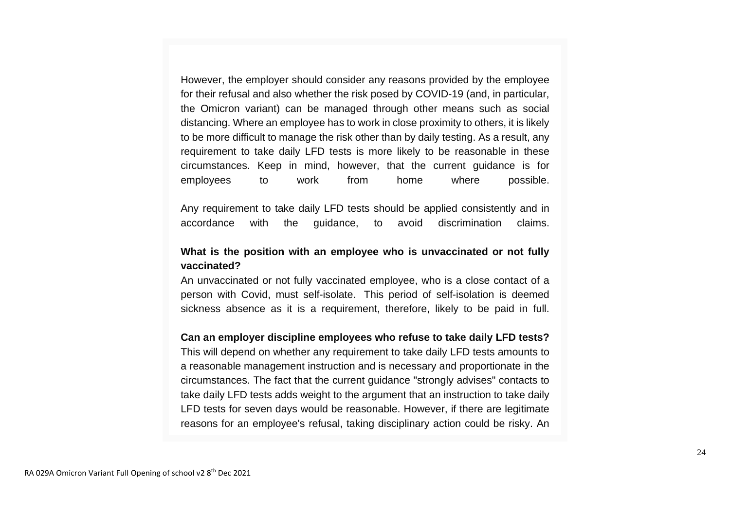However, the employer should consider any reasons provided by the employee for their refusal and also whether the risk posed by COVID-19 (and, in particular, the Omicron variant) can be managed through other means such as social distancing. Where an employee has to work in close proximity to others, it is likely to be more difficult to manage the risk other than by daily testing. As a result, any requirement to take daily LFD tests is more likely to be reasonable in these circumstances. Keep in mind, however, that the current guidance is for employees to work from home where possible.

Any requirement to take daily LFD tests should be applied consistently and in accordance with the guidance, to avoid discrimination claims.

# **What is the position with an employee who is unvaccinated or not fully vaccinated?**

An unvaccinated or not fully vaccinated employee, who is a close contact of a person with Covid, must self-isolate. This period of self-isolation is deemed sickness absence as it is a requirement, therefore, likely to be paid in full.

### **Can an employer discipline employees who refuse to take daily LFD tests?**

This will depend on whether any requirement to take daily LFD tests amounts to a reasonable management instruction and is necessary and proportionate in the circumstances. The fact that the current guidance "strongly advises" contacts to take daily LFD tests adds weight to the argument that an instruction to take daily LFD tests for seven days would be reasonable. However, if there are legitimate reasons for an employee's refusal, taking disciplinary action could be risky. An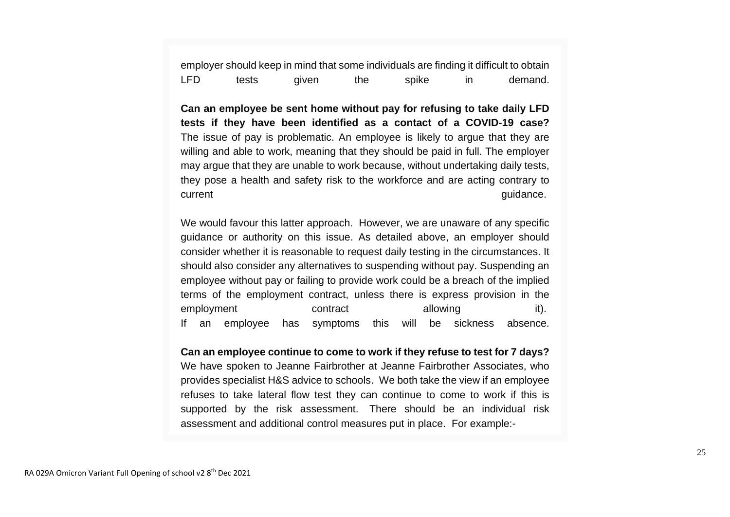employer should keep in mind that some individuals are finding it difficult to obtain LFD tests given the spike in demand.

**Can an employee be sent home without pay for refusing to take daily LFD tests if they have been identified as a contact of a COVID-19 case?** The issue of pay is problematic. An employee is likely to argue that they are willing and able to work, meaning that they should be paid in full. The employer may argue that they are unable to work because, without undertaking daily tests, they pose a health and safety risk to the workforce and are acting contrary to current guidance.

We would favour this latter approach. However, we are unaware of any specific guidance or authority on this issue. As detailed above, an employer should consider whether it is reasonable to request daily testing in the circumstances. It should also consider any alternatives to suspending without pay. Suspending an employee without pay or failing to provide work could be a breach of the implied terms of the employment contract, unless there is express provision in the employment contract allowing it). If an employee has symptoms this will be sickness absence.

**Can an employee continue to come to work if they refuse to test for 7 days?** We have spoken to Jeanne Fairbrother at Jeanne Fairbrother Associates, who provides specialist H&S advice to schools. We both take the view if an employee refuses to take lateral flow test they can continue to come to work if this is supported by the risk assessment. There should be an individual risk assessment and additional control measures put in place. For example:-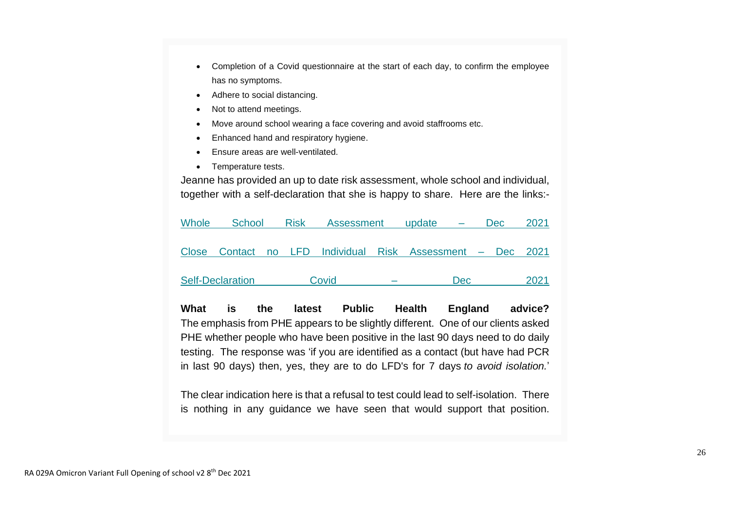- Completion of a Covid questionnaire at the start of each day, to confirm the employee has no symptoms.
- Adhere to social distancing.
- Not to attend meetings.
- Move around school wearing a face covering and avoid staffrooms etc.
- Enhanced hand and respiratory hygiene.
- Ensure areas are well-ventilated.
- Temperature tests.

Jeanne has provided an up to date risk assessment, whole school and individual, together with a self-declaration that she is happy to share. Here are the links:-

| Whole | School                  | <b>Risk</b> | <b>Assessment</b>                                          | update |      | <b>Dec</b> | 2021 |
|-------|-------------------------|-------------|------------------------------------------------------------|--------|------|------------|------|
|       |                         |             |                                                            |        |      |            |      |
|       |                         |             | Close Contact no LFD Individual Risk Assessment - Dec 2021 |        |      |            |      |
|       |                         |             |                                                            |        |      |            |      |
|       | <b>Self-Declaration</b> |             | Covid                                                      |        | Dec. |            | 2021 |
|       |                         |             |                                                            |        |      |            |      |

**What is the latest Public Health England advice?** The emphasis from PHE appears to be slightly different. One of our clients asked PHE whether people who have been positive in the last 90 days need to do daily testing. The response was 'if you are identified as a contact (but have had PCR in last 90 days) then, yes, they are to do LFD's for 7 days *to avoid isolation.*'

The clear indication here is that a refusal to test could lead to self-isolation. There is nothing in any guidance we have seen that would support that position.